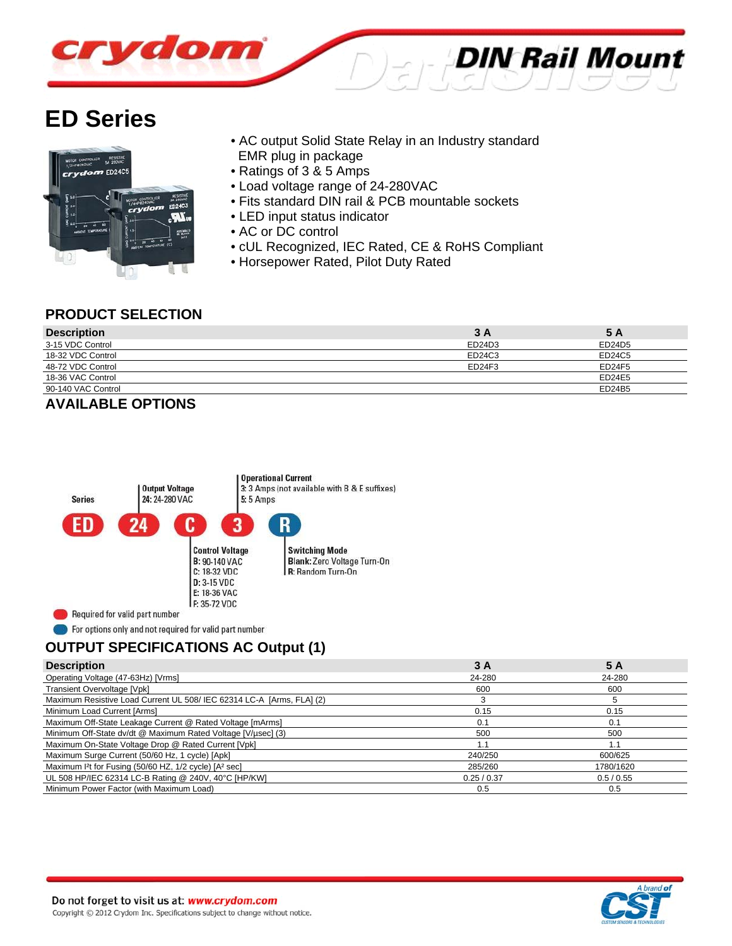

# **ED Series**



- AC output Solid State Relay in an Industry standard EMR plug in package
- Ratings of 3 & 5 Amps
- Load voltage range of 24-280VAC
- Fits standard DIN rail & PCB mountable sockets
- LED input status indicator
- AC or DC control
- cUL Recognized, IEC Rated, CE & RoHS Compliant
- Horsepower Rated, Pilot Duty Rated

### **PRODUCT SELECTION**

| <b>Description</b> | 3 A    | 5 A    |
|--------------------|--------|--------|
| 3-15 VDC Control   | ED24D3 | ED24D5 |
| 18-32 VDC Control  | ED24C3 | ED24C5 |
| 48-72 VDC Control  | ED24F3 | ED24F5 |
| 18-36 VAC Control  |        | ED24E5 |
| 90-140 VAC Control |        | ED24B5 |

### **AVAILABLE OPTIONS**



For options only and not required for valid part number

# **OUTPUT SPECIFICATIONS AC Output (1)**

| <b>Description</b>                                                           | 3 A       | 5 A       |
|------------------------------------------------------------------------------|-----------|-----------|
| Operating Voltage (47-63Hz) [Vrms]                                           | 24-280    | 24-280    |
| Transient Overvoltage [Vpk]                                                  | 600       | 600       |
| Maximum Resistive Load Current UL 508/ IEC 62314 LC-A [Arms, FLA] (2)        |           |           |
| Minimum Load Current [Arms]                                                  | 0.15      | 0.15      |
| Maximum Off-State Leakage Current @ Rated Voltage [mArms]                    | 0.1       | 0.1       |
| Minimum Off-State dv/dt @ Maximum Rated Voltage [V/usec] (3)                 | 500       | 500       |
| Maximum On-State Voltage Drop @ Rated Current [Vpk]                          |           | 1.1       |
| Maximum Surge Current (50/60 Hz, 1 cycle) [Apk]                              | 240/250   | 600/625   |
| Maximum <sup>2</sup> t for Fusing (50/60 HZ, 1/2 cycle) [A <sup>2</sup> sec] | 285/260   | 1780/1620 |
| UL 508 HP/IEC 62314 LC-B Rating @ 240V, 40°C [HP/KW]                         | 0.25/0.37 | 0.5/0.55  |
| Minimum Power Factor (with Maximum Load)                                     | 0.5       | 0.5       |

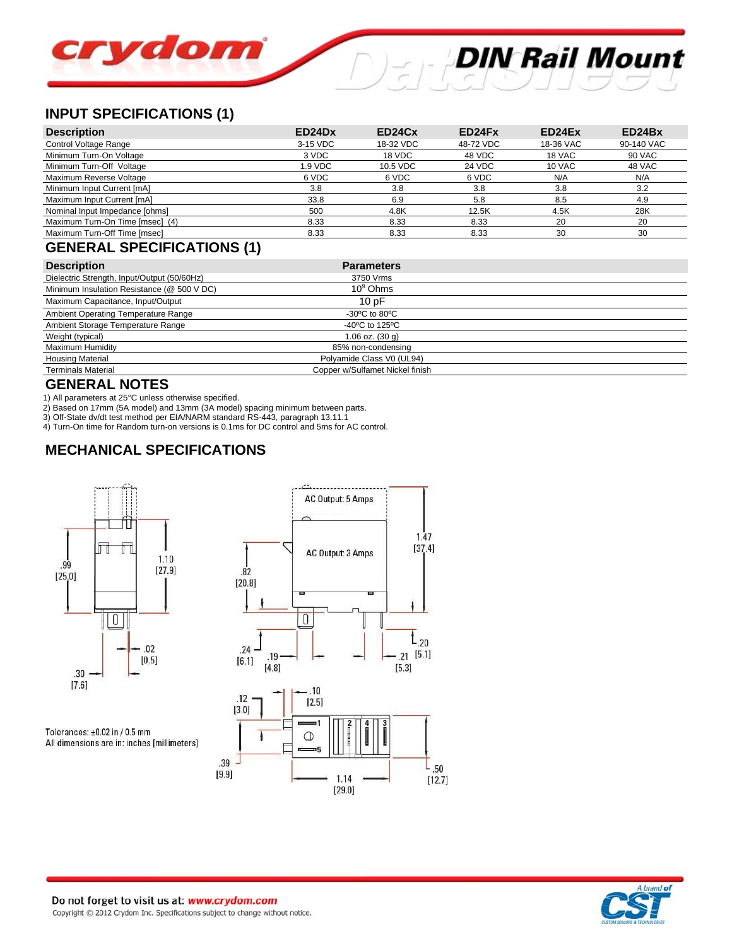# **DIN Rail Mount** crydom

# **INPUT SPECIFICATIONS (1)**

| <b>Description</b>              | ED24Dx   | ED24Cx    | ED24Fx    | ED24Ex    | ED24Bx        |
|---------------------------------|----------|-----------|-----------|-----------|---------------|
| Control Voltage Range           | 3-15 VDC | 18-32 VDC | 48-72 VDC | 18-36 VAC | 90-140 VAC    |
| Minimum Turn-On Voltage         | 3 VDC    | 18 VDC    | 48 VDC    | 18 VAC    | <b>90 VAC</b> |
| Minimum Turn-Off Voltage        | 1.9 VDC  | 10.5 VDC  | 24 VDC    | 10 VAC    | 48 VAC        |
| Maximum Reverse Voltage         | 6 VDC    | 6 VDC     | 6 VDC     | N/A       | N/A           |
| Minimum Input Current [mA]      | 3.8      | 3.8       | 3.8       | 3.8       | 3.2           |
| Maximum Input Current [mA]      | 33.8     | 6.9       | 5.8       | 8.5       | 4.9           |
| Nominal Input Impedance [ohms]  | 500      | 4.8K      | 12.5K     | 4.5K      | 28K           |
| Maximum Turn-On Time [msec] (4) | 8.33     | 8.33      | 8.33      | 20        | 20            |
| Maximum Turn-Off Time [msec]    | 8.33     | 8.33      | 8.33      | 30        | 30            |

# **GENERAL SPECIFICATIONS (1)**

| <b>Description</b>                          | <b>Parameters</b>                                    |  |
|---------------------------------------------|------------------------------------------------------|--|
| Dielectric Strength, Input/Output (50/60Hz) | 3750 Vrms                                            |  |
| Minimum Insulation Resistance (@ 500 V DC)  | $10^9$ Ohms                                          |  |
| Maximum Capacitance, Input/Output           | 10pF                                                 |  |
| Ambient Operating Temperature Range         | $-30^{\circ}$ C to 80 $^{\circ}$ C                   |  |
| Ambient Storage Temperature Range           | -40 $\mathrm{^{\circ}C}$ to 125 $\mathrm{^{\circ}C}$ |  |
| Weight (typical)                            | $1.06$ oz. $(30q)$                                   |  |
| Maximum Humidity                            | 85% non-condensing                                   |  |
| <b>Housing Material</b>                     | Polyamide Class V0 (UL94)                            |  |
| <b>Terminals Material</b>                   | Copper w/Sulfamet Nickel finish                      |  |

## **GENERAL NOTES**

1) All parameters at 25°C unless otherwise specified.

2) Based on 17mm (5A model) and 13mm (3A model) spacing minimum between parts.

3) Off-State dv/dt test method per EIA/NARM standard RS-443, paragraph 13.11.1

4) Turn-On time for Random turn-on versions is 0.1ms for DC control and 5ms for AC control.

# **MECHANICAL SPECIFICATIONS**



Tolerances:  $\pm 0.02$  in / 0.5 mm All dimensions are in: inches [millimeters]



1.14

 $[29.0]$ 

 $[12.7]$ 



 $[9.9]$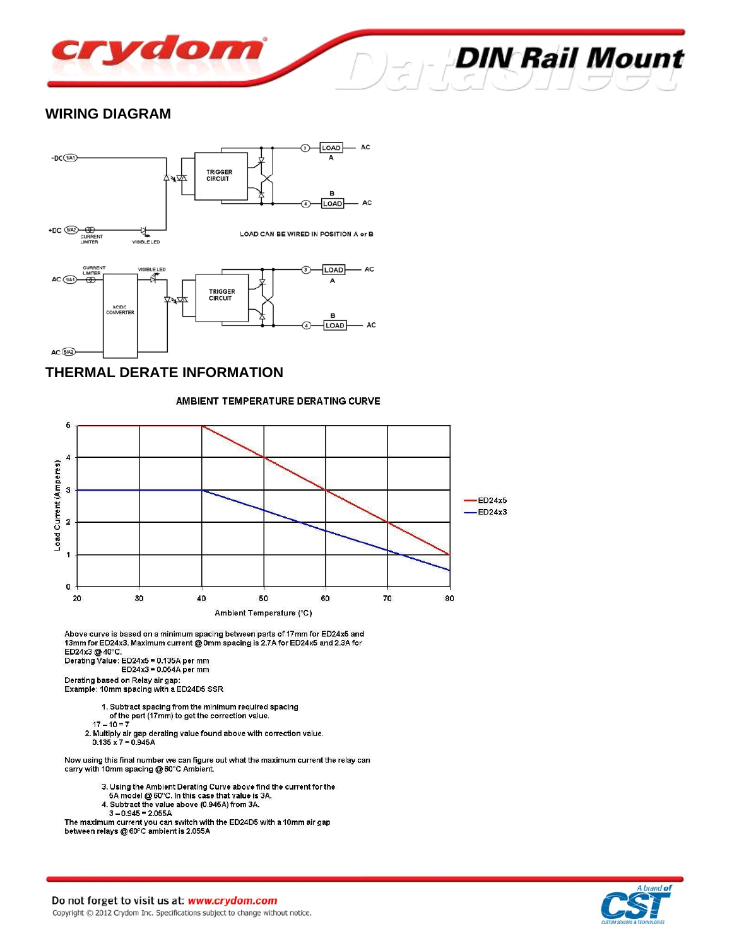

#### **WIRING DIAGRAM**



## **THERMAL DERATE INFORMATION**

#### AMBIENT TEMPERATURE DERATING CURVE



Above curve is based on a minimum spacing between parts of 17mm for ED24x5 and 13mm for ED24x3. Maximum current @ 0mm spacing is 2.7A for ED24x5 and 2.3A for ED24x3 @ 40°C.

Denating Value: ED24x5 = 0.135A per mm<br>Derating Value: ED24x5 = 0.054A per mm

Derating based on Relay air gap:<br>Example: 10mm spacing with a ED24D5 SSR

1. Subtract spacing from the minimum required spacing

- of the part (17mm) to get the correction value.
- $17 10 = 7$
- 2. Multiply air gap derating value found above with correction value.  $0.135 \times 7 = 0.945A$

Now using this final number we can figure out what the maximum current the relay can carry with 10mm spacing @ 60°C Ambient.

- 3. Using the Ambient Derating Curve above find the current for the 5A model @ 60°C. In this case that value is 3A.
- 
- 4. Subtract the value above (0.945A) from 3A.
- $3 0.945 = 2.055A$

The maximum current you can switch with the ED24D5 with a 10mm air gap between relays @ 60°C ambient is 2.055A



**DIN Rail Mount**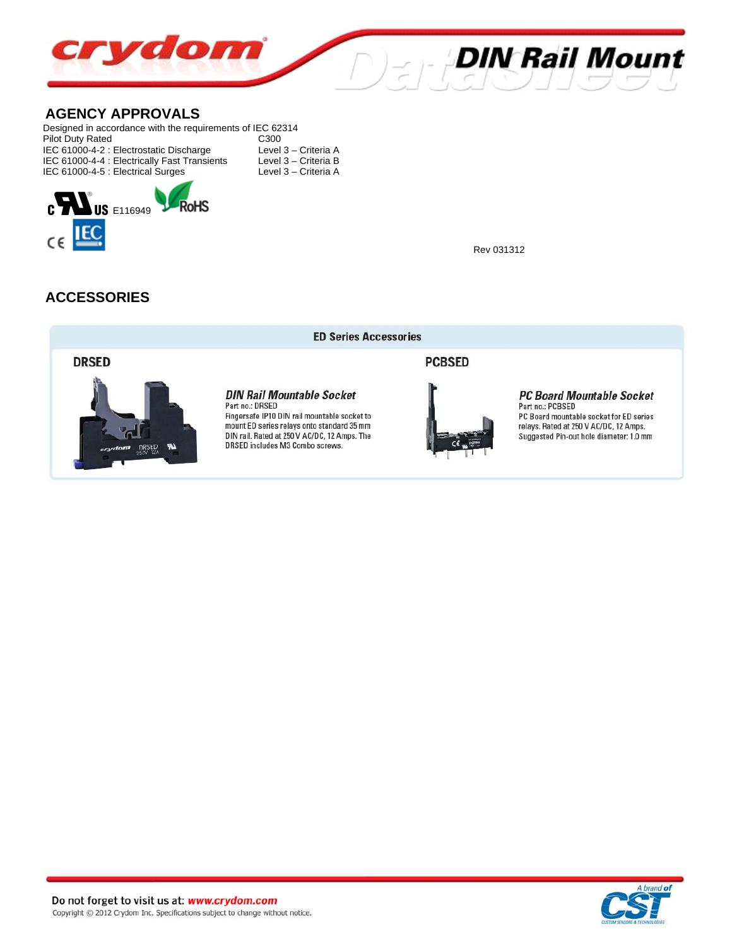

#### **AGENCY APPROVALS**

Designed in accordance with the requirements of IEC 62314 Pilot Duty Rated<br>
IEC 61000-4-2 : Electrostatic Discharge Level 3 - Criteria A IEC 61000-4-2 : Electrostatic Discharge Level 3 – Criteria A<br>IEC 61000-4-4 : Electrically Fast Transients Level 3 – Criteria B IEC 61000-4-4 : Electrically Fast Transients Level 3 – Criteria B<br>IEC 61000-4-5 : Electrical Surges Level 3 – Criteria A IEC 61000-4-5 : Electrical Surges



Rev 031312

## **ACCESSORIES**



#### **ED Series Accessories**

**DIN Rail Mountable Socket** 

Fingersafe IP10 DIN rail mountable socket to

mount ED series relays onto standard 35 mm

DIN rail. Rated at 250 V AC/DC, 12 Amps. The

DRSED includes M3 Combo screws.

Part no.: DRSED

**PCBSED** 



#### **PC Board Mountable Socket** Part no.: PCBSED

PC Board mountable socket for ED series relays. Rated at 250 V AC/DC, 12 Amps. Suggested Pin-out hole diameter: 1.0 mm

Do not forget to visit us at: www.crydom.com Copyright © 2012 Crydom Inc. Specifications subject to change without notice.

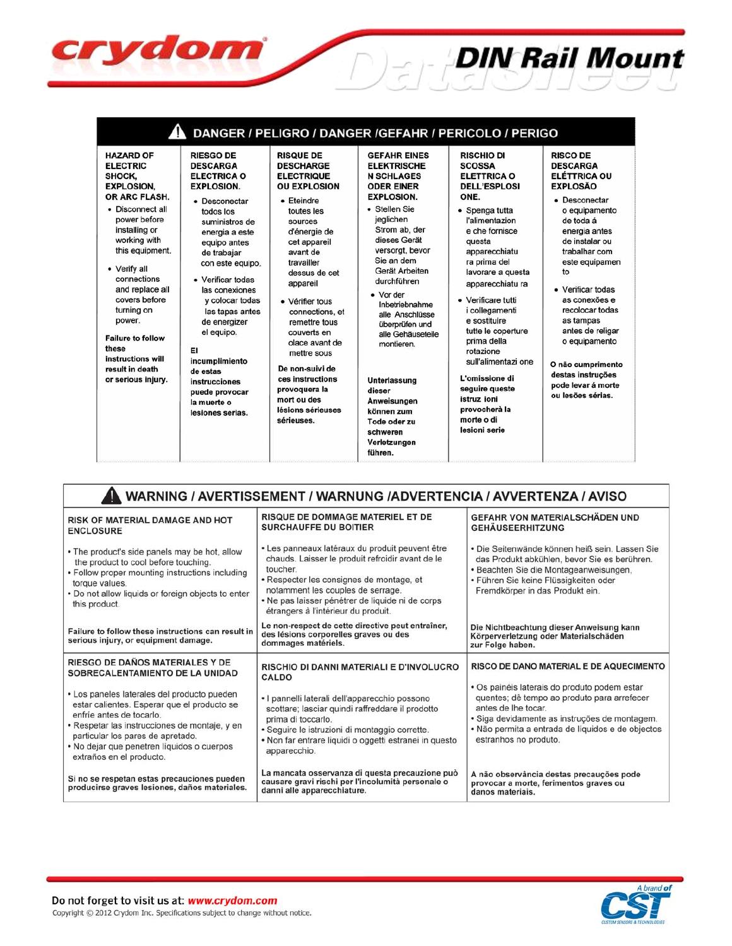| 4<br><b>RIESGO DE</b><br><b>HAZARD OF</b><br><b>ELECTRIC</b><br><b>DESCARGA</b><br><b>ELECTRICA O</b><br>SHOCK.<br><b>EXPLOSION.</b><br><b>EXPLOSION.</b><br>OR ARC FLASH.<br>• Desconectar<br>• Disconnect all<br>todos los<br>power before<br>suministros de<br>installing or<br>energia a este<br>working with<br>equipo antes<br>this equipment.<br>de trabajar<br>con este equipo.<br>• Verify all<br>connections<br>• Verificar todas<br>and replace all<br>las conexiones<br>covers before<br>y colocar todas<br>turning on<br>las tapas antes<br>power.<br>de energizer<br>el equipo.<br><b>Failure to follow</b><br>these<br>EI<br>instructions will<br>incumplimiento<br>result in death<br>de estas<br>or serious injury.<br>instrucciones<br>puede provocar<br>la muerte o<br>lesiones serias. | DANGER / PELIGRO / DANGER / GEFAHR / PERICOLO / PERIGO<br><b>RISQUE DE</b><br><b>DESCHARGE</b><br><b>ELECTRIQUE</b><br><b>OU EXPLOSION</b><br>$\bullet$ Eteindre<br>toutes les<br>sources<br>d'énergie de<br>cet appareil<br>avant de<br>travailler<br>dessus de cet<br>appareil<br>• Vérifier tous<br>connections, et<br>remettre tous<br>couverts en<br>olace avant de<br>mettre sous<br>De non-suivi de<br>ces instructions<br>provoquera la<br>mort ou des<br>lésions sérieuses<br>sérieuses. | <b>GEFAHR EINES</b><br><b>ELEKTRISCHE</b><br><b>N SCHLAGES</b><br><b>ODER EINER</b><br><b>EXPLOSION.</b><br>• Stellen Sie<br>jeglichen<br>Strom ab, der<br>dieses Gerät<br>versorgt, bevor<br>Sie an dem<br>Gerät Arbeiten<br>durchführen<br>• Vor der<br>Inbetriebnahme<br>alle Anschlüsse<br>überprüfen und<br>alle Gehäuseteile<br>montieren.<br><b>Unterlassung</b><br>dieser<br>Anweisungen<br>können zum<br>Tode oder zu<br>schweren<br>Verletzungen<br>führen. | <b>RISCHIO DI</b><br><b>SCOSSA</b><br><b>ELETTRICA O</b><br><b>DELL'ESPLOSI</b><br>ONE.<br>• Spenga tutta<br>l'alimentazion<br>e che fornisce<br>questa<br>apparecchiatu<br>ra prima del<br>lavorare a questa<br>apparecchiatu ra<br>• Verificare tutti<br><i>i</i> collegamenti<br>e sostituire<br>tutte le coperture<br>prima della<br>rotazione<br>sull'alimentazi one<br>L'omissione di<br>seguire queste<br>istruz ioni<br>provocherà la<br>morte o di<br>lesioni serie | <b>RISCO DE</b><br><b>DESCARGA</b><br><b>ELÉTTRICA OU</b><br><b>EXPLOSÃO</b><br>• Desconectar<br>o equipamento<br>de toda á<br>energia antes<br>de instalar ou<br>trabalhar com<br>este equipamen<br>to<br>• Verificar todas<br>as conexões e<br>recolocar todas<br>as tampas<br>antes de religar<br>o equipamento<br>O não cumprimento<br>destas instruções<br>pode levar á morte<br>ou lesões sérias. |
|------------------------------------------------------------------------------------------------------------------------------------------------------------------------------------------------------------------------------------------------------------------------------------------------------------------------------------------------------------------------------------------------------------------------------------------------------------------------------------------------------------------------------------------------------------------------------------------------------------------------------------------------------------------------------------------------------------------------------------------------------------------------------------------------------------|---------------------------------------------------------------------------------------------------------------------------------------------------------------------------------------------------------------------------------------------------------------------------------------------------------------------------------------------------------------------------------------------------------------------------------------------------------------------------------------------------|-----------------------------------------------------------------------------------------------------------------------------------------------------------------------------------------------------------------------------------------------------------------------------------------------------------------------------------------------------------------------------------------------------------------------------------------------------------------------|------------------------------------------------------------------------------------------------------------------------------------------------------------------------------------------------------------------------------------------------------------------------------------------------------------------------------------------------------------------------------------------------------------------------------------------------------------------------------|---------------------------------------------------------------------------------------------------------------------------------------------------------------------------------------------------------------------------------------------------------------------------------------------------------------------------------------------------------------------------------------------------------|
|------------------------------------------------------------------------------------------------------------------------------------------------------------------------------------------------------------------------------------------------------------------------------------------------------------------------------------------------------------------------------------------------------------------------------------------------------------------------------------------------------------------------------------------------------------------------------------------------------------------------------------------------------------------------------------------------------------------------------------------------------------------------------------------------------------|---------------------------------------------------------------------------------------------------------------------------------------------------------------------------------------------------------------------------------------------------------------------------------------------------------------------------------------------------------------------------------------------------------------------------------------------------------------------------------------------------|-----------------------------------------------------------------------------------------------------------------------------------------------------------------------------------------------------------------------------------------------------------------------------------------------------------------------------------------------------------------------------------------------------------------------------------------------------------------------|------------------------------------------------------------------------------------------------------------------------------------------------------------------------------------------------------------------------------------------------------------------------------------------------------------------------------------------------------------------------------------------------------------------------------------------------------------------------------|---------------------------------------------------------------------------------------------------------------------------------------------------------------------------------------------------------------------------------------------------------------------------------------------------------------------------------------------------------------------------------------------------------|

**DIN Rail Mount** 

| WARNING / AVERTISSEMENT / WARNUNG /ADVERTENCIA / AVVERTENZA / AVISO                                                                                                                                                                                                                    |                                                                                                                                                                                                                                                                                             |                                                                                                                                                                                                                                                   |  |  |  |  |
|----------------------------------------------------------------------------------------------------------------------------------------------------------------------------------------------------------------------------------------------------------------------------------------|---------------------------------------------------------------------------------------------------------------------------------------------------------------------------------------------------------------------------------------------------------------------------------------------|---------------------------------------------------------------------------------------------------------------------------------------------------------------------------------------------------------------------------------------------------|--|--|--|--|
| <b>RISK OF MATERIAL DAMAGE AND HOT</b><br><b>ENCLOSURE</b>                                                                                                                                                                                                                             | <b>RISQUE DE DOMMAGE MATERIEL ET DE</b><br><b>SURCHAUFFE DU BOITIER</b>                                                                                                                                                                                                                     | <b>GEFAHR VON MATERIALSCHÄDEN UND</b><br><b>GEHÄUSEERHITZUNG</b>                                                                                                                                                                                  |  |  |  |  |
| • The product's side panels may be hot, allow<br>the product to cool before touching.<br>• Follow proper mounting instructions including<br>torque values.<br>. Do not allow liquids or foreign objects to enter<br>this product.                                                      | • Les panneaux latéraux du produit peuvent être<br>chauds. Laisser le produit refroidir avant de le<br>toucher.<br>• Respecter les consignes de montage, et<br>notamment les couples de serrage.<br>• Ne pas laisser pénétrer de liquide ni de corps<br>étrangers à l'intérieur du produit. | • Die Seitenwände können heiß sein. Lassen Sie<br>das Produkt abkühlen, bevor Sie es berühren.<br>· Beachten Sie die Montageanweisungen,<br>• Führen Sie keine Flüssigkeiten oder<br>Fremdkörper in das Produkt ein.                              |  |  |  |  |
| Failure to follow these instructions can result in<br>serious injury, or equipment damage.                                                                                                                                                                                             | Le non-respect de cette directive peut entraîner,<br>des lésions corporelles graves ou des<br>dommages matériels.                                                                                                                                                                           | Die Nichtbeachtung dieser Anweisung kann<br>Körperverletzung oder Materialschäden<br>zur Folge haben.                                                                                                                                             |  |  |  |  |
| RIESGO DE DAÑOS MATERIALES Y DE<br>SOBRECALENTAMIENTO DE LA UNIDAD                                                                                                                                                                                                                     | <b>RISCHIO DI DANNI MATERIALI E D'INVOLUCRO</b><br>CALDO                                                                                                                                                                                                                                    | RISCO DE DANO MATERIAL E DE AQUECIMENTO                                                                                                                                                                                                           |  |  |  |  |
| • Los paneles laterales del producto pueden<br>estar calientes. Esperar que el producto se<br>enfríe antes de tocarlo.<br>• Respetar las instrucciones de montaje, y en<br>particular los pares de apretado.<br>• No dejar que penetren líquidos o cuerpos<br>extraños en el producto. | · I pannelli laterali dell'apparecchio possono<br>scottare; lasciar quindi raffreddare il prodotto<br>prima di toccarlo.<br>· Seguire le istruzioni di montaggio corrette.<br>• Non far entrare liquidi o oggetti estranei in questo<br>apparecchio.                                        | · Os painéis laterais do produto podem estar<br>quentes; dê tempo ao produto para arrefecer<br>antes de lhe tocar.<br>· Siga devidamente as instruções de montagem.<br>· Não permita a entrada de líquidos e de objectos<br>estranhos no produto. |  |  |  |  |
| Si no se respetan estas precauciones pueden<br>producirse graves lesiones, daños materiales.                                                                                                                                                                                           | La mancata osservanza di questa precauzione può<br>causare gravi rischi per l'incolumità personale o<br>danni alle apparecchiature.                                                                                                                                                         | A não observância destas precauções pode<br>provocar a morte, ferimentos graves ou<br>danos materiais.                                                                                                                                            |  |  |  |  |



crydom